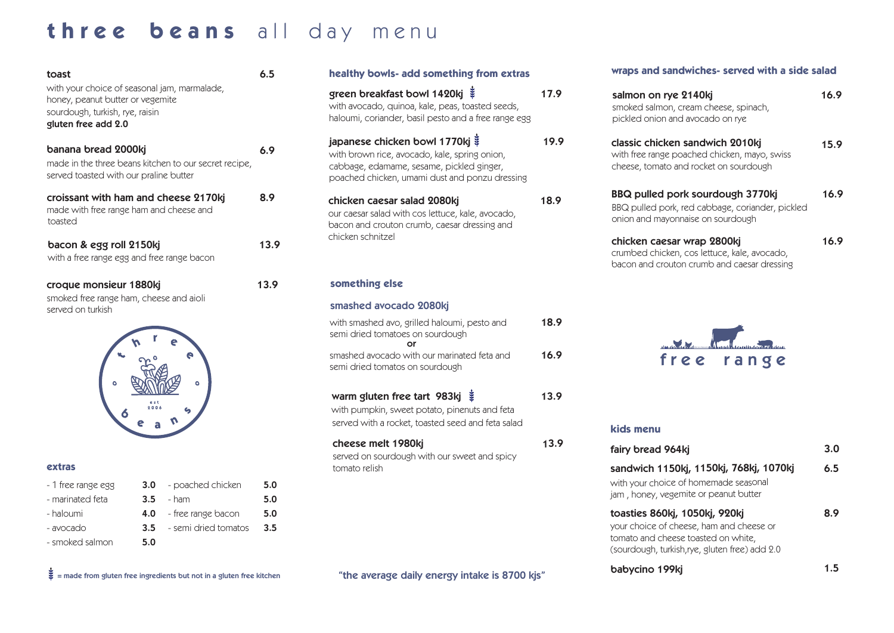## three beans all day menu

| toast                                                                                                                                      |                             | healthy bowls- add something from extras                                                                                                                                               |
|--------------------------------------------------------------------------------------------------------------------------------------------|-----------------------------|----------------------------------------------------------------------------------------------------------------------------------------------------------------------------------------|
| with your choice of seasonal jam, marmalade,<br>honey, peanut butter or vegemite<br>sourdough, turkish, rye, raisin<br>gluten free add 2.0 |                             | green breakfast bowl 1420kj ¥<br>17.9<br>with avocado, quinoa, kale, peas, toasted seeds,<br>haloumi, coriander, basil pesto and a free range egg                                      |
| banana bread 2000kj<br>made in the three beans kitchen to our secret recipe,<br>served toasted with our praline butter                     |                             | japanese chicken bowl 1770kj ¥<br>19.9<br>with brown rice, avocado, kale, spring onion,<br>cabbage, edamame, sesame, pickled ginger,<br>poached chicken, umami dust and ponzu dressing |
| croissant with ham and cheese 2170kj<br>made with free range ham and cheese and<br>toasted                                                 |                             | 18.9<br>chicken caesar salad 2080kj<br>our caesar salad with cos lettuce, kale, avocado,<br>bacon and crouton crumb, caesar dressing and                                               |
| bacon & egg roll 2150kj<br>with a free range egg and free range bacon                                                                      |                             | chicken schnitzel                                                                                                                                                                      |
| croque monsieur 1880kj<br>smoked free range ham, cheese and aioli<br>served on turkish                                                     |                             | something else                                                                                                                                                                         |
|                                                                                                                                            |                             | smashed avocado 2080kj                                                                                                                                                                 |
|                                                                                                                                            |                             | 18.9<br>with smashed avo, grilled haloumi, pesto and<br>semi dried tomatoes on sourdough<br>or                                                                                         |
|                                                                                                                                            |                             | 16.9<br>smashed avocado with our marinated feta and<br>semi dried tomatos on sourdough                                                                                                 |
|                                                                                                                                            |                             | warm gluten free tart 983kj $\ddot{\ddot{\bm{x}}}$<br>13.9<br>with pumpkin, sweet potato, pinenuts and feta<br>served with a rocket, toasted seed and feta salad                       |
| extras                                                                                                                                     |                             | 13.9<br>cheese melt 1980kj<br>served on sourdough with our sweet and spicy<br>tomato relish                                                                                            |
| - poached chicken<br>- 1 free range egg<br>3.0 <sub>2</sub>                                                                                | 5.0                         |                                                                                                                                                                                        |
| - marinated feta<br>3.5<br>- ham                                                                                                           | 5.0                         |                                                                                                                                                                                        |
| - haloumi<br>- free range bacon<br>4.0                                                                                                     | 5.0                         |                                                                                                                                                                                        |
| 3.5<br>- avocado<br>- smoked salmon<br>5.0                                                                                                 | - semi dried tomatos<br>3.5 |                                                                                                                                                                                        |
| $\frac{3}{2}$ = made from gluten free ingredients but not in a gluten free kitchen                                                         |                             | "the average daily energy intake is 8700 kjs"                                                                                                                                          |

## **wraps and sandwiches- served with a side salad**

| green breakfast bowl 1420kj ₹<br>with avocado, quinoa, kale, peas, toasted seeds,<br>haloumi, coriander, basil pesto and a free range egg                                      | 17.9 | salmon on rye 2140kj<br>smoked salmon, cream cheese, spinach,<br>pickled onion and avocado on rye<br>classic chicken sandwich 2010kj<br>with free range poached chicken, mayo, swiss<br>cheese, tomato and rocket on sourdough |      |
|--------------------------------------------------------------------------------------------------------------------------------------------------------------------------------|------|--------------------------------------------------------------------------------------------------------------------------------------------------------------------------------------------------------------------------------|------|
| japanese chicken bowl 1770kj ¥<br>with brown rice, avocado, kale, spring onion,<br>cabbage, edamame, sesame, pickled ginger,<br>poached chicken, umami dust and ponzu dressing | 19.9 |                                                                                                                                                                                                                                |      |
| chicken caesar salad 2080kj<br>our caesar salad with cos lettuce, kale, avocado,<br>bacon and crouton crumb, caesar dressing and                                               | 18.9 | BBQ pulled pork sourdough 3770kj<br>BBQ pulled pork, red cabbage, coriander, pickled<br>onion and mayonnaise on sourdough                                                                                                      | 16.9 |
| chicken schnitzel                                                                                                                                                              |      | chicken caesar wrap 2800kj<br>crumbed chicken, cos lettuce, kale, avocado,<br>bacon and crouton crumb and caesar dressing                                                                                                      | 16.9 |
| something else                                                                                                                                                                 |      |                                                                                                                                                                                                                                |      |
| smashed avocado 2080kj                                                                                                                                                         |      |                                                                                                                                                                                                                                |      |
| with smashed avo, grilled haloumi, pesto and<br>semi dried tomatoes on sourdough<br>or                                                                                         | 18.9 |                                                                                                                                                                                                                                |      |
| smashed avocado with our marinated feta and<br>semi dried tomatos on sourdough                                                                                                 | 16.9 | free<br>range                                                                                                                                                                                                                  |      |
| warm gluten free tart 983kj $\ddot{\ddot{\bm{x}}}$<br>with pumpkin, sweet potato, pinenuts and feta<br>served with a rocket, toasted seed and feta salad                       | 13.9 | kids menu                                                                                                                                                                                                                      |      |
| cheese melt 1980kj                                                                                                                                                             | 13.9 | fairy bread 964kj                                                                                                                                                                                                              | 3.0  |
| served on sourdough with our sweet and spicy<br>tomato relish                                                                                                                  |      | sandwich 1150kj, 1150kj, 768kj, 1070kj                                                                                                                                                                                         | 6.5  |
|                                                                                                                                                                                |      | with your choice of homemade seasonal<br>jam, honey, vegemite or peanut butter                                                                                                                                                 |      |
|                                                                                                                                                                                |      | toasties 860kj, 1050kj, 920kj<br>your choice of cheese, ham and cheese or<br>tomato and cheese toasted on white,<br>(sourdough, turkish, rye, gluten free) add 2.0                                                             | 8.9  |

babycino 199kj

1.5